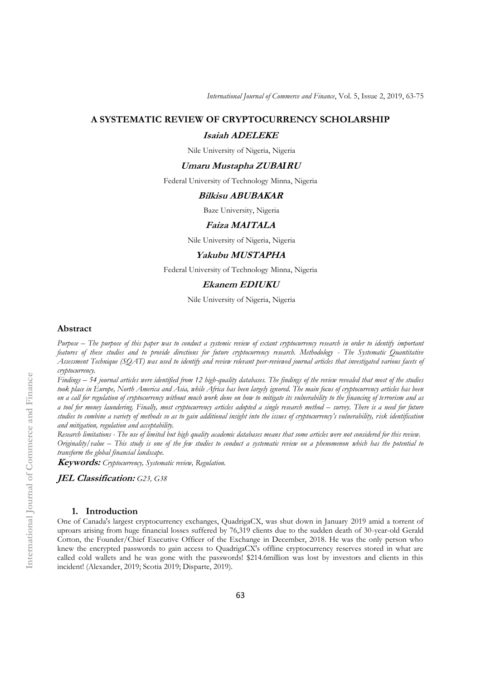*International Journal of Commerce and Finance*, Vol. 5, Issue 2, 2019, 63-75

# **A SYSTEMATIC REVIEW OF CRYPTOCURRENCY SCHOLARSHIP**

### **Isaiah ADELEKE**

Nile University of Nigeria, Nigeria

# **Umaru Mustapha ZUBA***I***RU**

Federal University of Technology Minna, Nigeria

### **Bilkisu ABUBAKAR**

Baze University, Nigeria

### **Faiza MAITALA**

Nile University of Nigeria, Nigeria

# **Yakubu MUSTAPHA**

Federal University of Technology Minna, Nigeria

# **Ekanem EDIUKU**

Nile University of Nigeria, Nigeria

### **Abstract**

*Purpose – The purpose of this paper was to conduct a systemic review of extant cryptocurrency research in order to identify important features of these studies and to provide directions for future cryptocurrency research. Methodology - The Systematic Quantitative Assessment Technique (SQAT) was used to identify and review relevant peer-reviewed journal articles that investigated various facets of cryptocurrency.*

*Findings – 54 journal articles were identified from 12 high-quality databases. The findings of the review revealed that most of the studies*  took place in Europe, North America and Asia, while Africa has been largely ignored. The main focus of cryptocurrency articles has been *on a call for regulation of cryptocurrency without much work done on how to mitigate its vulnerability to the financing of terrorism and as a tool for money laundering. Finally, most cryptocurrency articles adopted a single research method – survey. There is a need for future studies to combine a variety of methods so as to gain additional insight into the issues of cryptocurrency's vulnerability, risk identification and mitigation, regulation and acceptability.*

*Research limitations - The use of limited but high quality academic databases means that some articles were not considered for this review. Originality/value – This study is one of the few studies to conduct a systematic review on a phenomenon which has the potential to transform the global financial landscape.*

**Keywords:** *Cryptocurrency, Systematic review, Regulation.*

**JEL Classification:** *G23, G38*

# **1. Introduction**

One of Canada's largest cryptocurrency exchanges, QuadrigaCX, was shut down in January 2019 amid a torrent of uproars arising from huge financial losses suffered by 76,319 clients due to the sudden death of 30-year-old Gerald Cotton, the Founder/Chief Executive Officer of the Exchange in December, 2018. He was the only person who knew the encrypted passwords to gain access to QuadrigaCX's offline cryptocurrency reserves stored in what are called cold wallets and he was gone with the passwords! \$214.6million was lost by investors and clients in this incident! (Alexander, 2019; Scotia 2019; Disparte, 2019).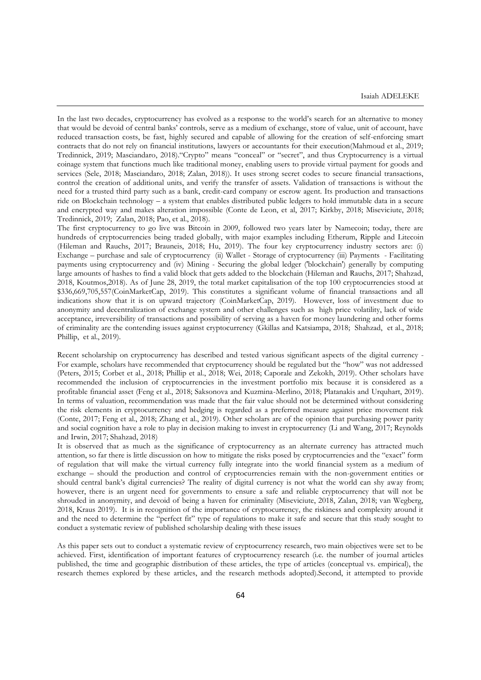In the last two decades, cryptocurrency has evolved as a response to the world's search for an alternative to money that would be devoid of central banks' controls, serve as a medium of exchange, store of value, unit of account, have reduced transaction costs, be fast, highly secured and capable of allowing for the creation of self-enforcing smart contracts that do not rely on financial institutions, lawyers or accountants for their execution(Mahmoud et al., 2019; Tredinnick, 2019; Masciandaro, 2018)."Crypto" means "conceal" or "secret", and thus Cryptocurrency is a virtual coinage system that functions much like traditional money, enabling users to provide virtual payment for goods and services (Sele, 2018; Masciandaro, 2018; Zalan, 2018)). It uses strong secret codes to secure financial transactions, control the creation of additional units, and verify the transfer of assets. Validation of transactions is without the need for a trusted third party such as a bank, credit-card company or escrow agent. Its production and transactions ride on Blockchain technology – a system that enables distributed public ledgers to hold immutable data in a secure and encrypted way and makes alteration impossible (Conte de Leon, et al, 2017; Kirkby, 2018; Miseviciute, 2018; Tredinnick, 2019; Zalan, 2018; Pao, et al., 2018).

The first cryptocurrency to go live was Bitcoin in 2009, followed two years later by Namecoin; today, there are hundreds of cryptocurrencies being traded globally, with major examples including Etherum, Ripple and Litecoin (Hileman and Rauchs, 2017; Brauneis, 2018; Hu, 2019). The four key cryptocurrency industry sectors are: (i) Exchange – purchase and sale of cryptocurrency (ii) Wallet - Storage of cryptocurrency (iii) Payments - Facilitating payments using cryptocurrency and (iv) Mining - Securing the global ledger ('blockchain') generally by computing large amounts of hashes to find a valid block that gets added to the blockchain (Hileman and Rauchs, 2017; Shahzad, 2018, Koutmos,2018). As of June 28, 2019, the total market capitalisation of the top 100 cryptocurrencies stood at \$336,669,705,557(CoinMarketCap, 2019). This constitutes a significant volume of financial transactions and all indications show that it is on upward trajectory (CoinMarketCap, 2019). However, loss of investment due to anonymity and decentralization of exchange system and other challenges such as high price volatility, lack of wide acceptance, irreversibility of transactions and possibility of serving as a haven for money laundering and other forms of criminality are the contending issues against cryptocurrency (Gkillas and Katsiampa, 2018; Shahzad, et al., 2018; Phillip, et al., 2019).

Recent scholarship on cryptocurrency has described and tested various significant aspects of the digital currency - For example, scholars have recommended that cryptocurrency should be regulated but the "how" was not addressed (Peters, 2015; Corbet et al., 2018; Phillip et al., 2018; Wei, 2018; Caporale and Zekokh, 2019). Other scholars have recommended the inclusion of cryptocurrencies in the investment portfolio mix because it is considered as a profitable financial asset (Feng et al., 2018; Saksonova and Kuzmina-Merlino, 2018; Platanakis and Urquhart, 2019). In terms of valuation, recommendation was made that the fair value should not be determined without considering the risk elements in cryptocurrency and hedging is regarded as a preferred measure against price movement risk (Conte, 2017; Feng et al., 2018; Zhang et al., 2019). Other scholars are of the opinion that purchasing power parity and social cognition have a role to play in decision making to invest in cryptocurrency (Li and Wang, 2017; Reynolds and Irwin, 2017; Shahzad, 2018)

It is observed that as much as the significance of cryptocurrency as an alternate currency has attracted much attention, so far there is little discussion on how to mitigate the risks posed by cryptocurrencies and the "exact" form of regulation that will make the virtual currency fully integrate into the world financial system as a medium of exchange – should the production and control of cryptocurrencies remain with the non-government entities or should central bank's digital currencies? The reality of digital currency is not what the world can shy away from; however, there is an urgent need for governments to ensure a safe and reliable cryptocurrency that will not be shrouded in anonymity, and devoid of being a haven for criminality (Miseviciute, 2018, Zalan, 2018; van Wegberg, 2018, Kraus 2019). It is in recognition of the importance of cryptocurrency, the riskiness and complexity around it and the need to determine the "perfect fit" type of regulations to make it safe and secure that this study sought to conduct a systematic review of published scholarship dealing with these issues

As this paper sets out to conduct a systematic review of cryptocurrency research, two main objectives were set to be achieved. First, identification of important features of cryptocurrency research (i.e. the number of journal articles published, the time and geographic distribution of these articles, the type of articles (conceptual vs. empirical), the research themes explored by these articles, and the research methods adopted).Second, it attempted to provide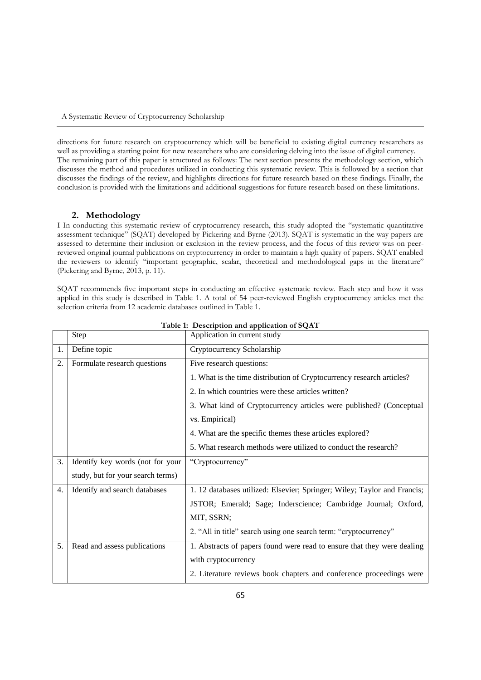directions for future research on cryptocurrency which will be beneficial to existing digital currency researchers as well as providing a starting point for new researchers who are considering delving into the issue of digital currency. The remaining part of this paper is structured as follows: The next section presents the methodology section, which discusses the method and procedures utilized in conducting this systematic review. This is followed by a section that discusses the findings of the review, and highlights directions for future research based on these findings. Finally, the conclusion is provided with the limitations and additional suggestions for future research based on these limitations.

# **2. Methodology**

I In conducting this systematic review of cryptocurrency research, this study adopted the "systematic quantitative assessment technique" (SQAT) developed by Pickering and Byrne (2013). SQAT is systematic in the way papers are assessed to determine their inclusion or exclusion in the review process, and the focus of this review was on peerreviewed original journal publications on cryptocurrency in order to maintain a high quality of papers. SQAT enabled the reviewers to identify "important geographic, scalar, theoretical and methodological gaps in the literature" (Pickering and Byrne, 2013, p. 11).

SQAT recommends five important steps in conducting an effective systematic review. Each step and how it was applied in this study is described in Table 1. A total of 54 peer-reviewed English cryptocurrency articles met the selection criteria from 12 academic databases outlined in Table 1.

|    | Step                              | Application in current study                                             |  |  |
|----|-----------------------------------|--------------------------------------------------------------------------|--|--|
| 1. | Define topic                      | Cryptocurrency Scholarship                                               |  |  |
| 2. | Formulate research questions      | Five research questions:                                                 |  |  |
|    |                                   | 1. What is the time distribution of Cryptocurrency research articles?    |  |  |
|    |                                   | 2. In which countries were these articles written?                       |  |  |
|    |                                   | 3. What kind of Cryptocurrency articles were published? (Conceptual      |  |  |
|    |                                   | vs. Empirical)                                                           |  |  |
|    |                                   | 4. What are the specific themes these articles explored?                 |  |  |
|    |                                   | 5. What research methods were utilized to conduct the research?          |  |  |
| 3. | Identify key words (not for your  | "Cryptocurrency"                                                         |  |  |
|    | study, but for your search terms) |                                                                          |  |  |
| 4. | Identify and search databases     | 1. 12 databases utilized: Elsevier; Springer; Wiley; Taylor and Francis; |  |  |
|    |                                   | JSTOR; Emerald; Sage; Inderscience; Cambridge Journal; Oxford,           |  |  |
|    |                                   | MIT, SSRN;                                                               |  |  |
|    |                                   | 2. "All in title" search using one search term: "cryptocurrency"         |  |  |
| 5. | Read and assess publications      | 1. Abstracts of papers found were read to ensure that they were dealing  |  |  |
|    |                                   | with cryptocurrency                                                      |  |  |
|    |                                   | 2. Literature reviews book chapters and conference proceedings were      |  |  |

|  |  |  | Table 1: Description and application of SQAT |  |
|--|--|--|----------------------------------------------|--|
|--|--|--|----------------------------------------------|--|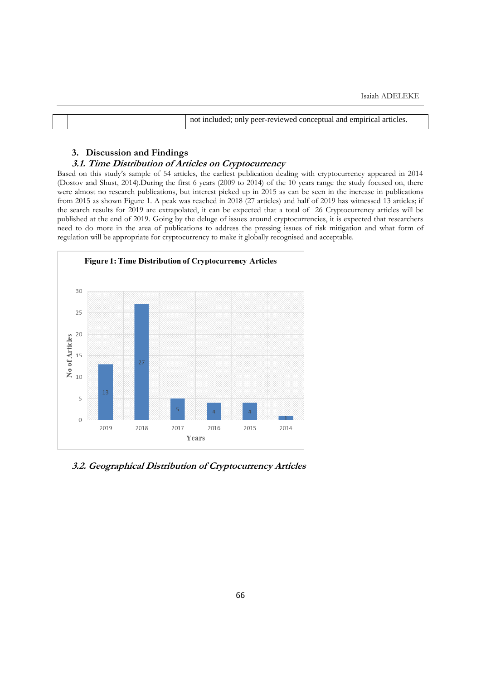| not included; only peer-reviewed conceptual and empirical articles. |  |  |
|---------------------------------------------------------------------|--|--|
|                                                                     |  |  |

# **3. Discussion and Findings**

# **3.1. Time Distribution of Articles on Cryptocurrency**

Based on this study's sample of 54 articles, the earliest publication dealing with cryptocurrency appeared in 2014 (Dostov and Shust, 2014).During the first 6 years (2009 to 2014) of the 10 years range the study focused on, there were almost no research publications, but interest picked up in 2015 as can be seen in the increase in publications from 2015 as shown Figure 1. A peak was reached in 2018 (27 articles) and half of 2019 has witnessed 13 articles; if the search results for 2019 are extrapolated, it can be expected that a total of 26 Cryptocurrency articles will be published at the end of 2019. Going by the deluge of issues around cryptocurrencies, it is expected that researchers need to do more in the area of publications to address the pressing issues of risk mitigation and what form of regulation will be appropriate for cryptocurrency to make it globally recognised and acceptable.



**3.2. Geographical Distribution of Cryptocurrency Articles**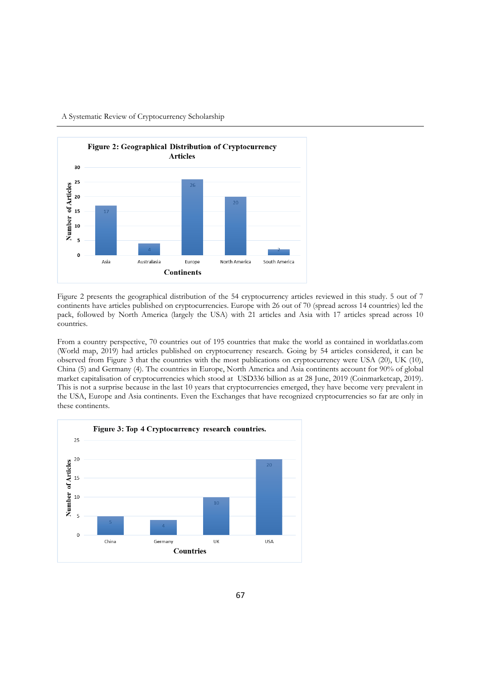

A Systematic Review of Cryptocurrency Scholarship

Figure 2 presents the geographical distribution of the 54 cryptocurrency articles reviewed in this study. 5 out of 7 continents have articles published on cryptocurrencies. Europe with 26 out of 70 (spread across 14 countries) led the pack, followed by North America (largely the USA) with 21 articles and Asia with 17 articles spread across 10 countries.

From a country perspective, 70 countries out of 195 countries that make the world as contained in worldatlas.com (World map, 2019) had articles published on cryptocurrency research. Going by 54 articles considered, it can be observed from Figure 3 that the countries with the most publications on cryptocurrency were USA (20), UK (10), China (5) and Germany (4). The countries in Europe, North America and Asia continents account for 90% of global market capitalisation of cryptocurrencies which stood at USD336 billion as at 28 June, 2019 (Coinmarketcap, 2019). This is not a surprise because in the last 10 years that cryptocurrencies emerged, they have become very prevalent in the USA, Europe and Asia continents. Even the Exchanges that have recognized cryptocurrencies so far are only in these continents.

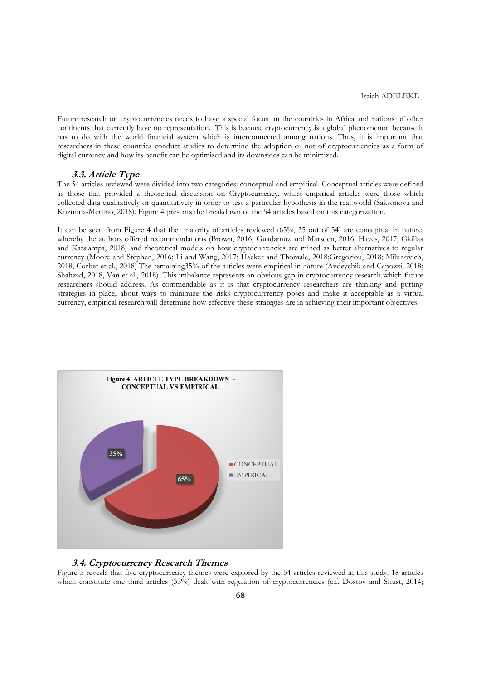Future research on cryptocurrencies needs to have a special focus on the countries in Africa and nations of other continents that currently have no representation. This is because cryptocurrency is a global phenomenon because it has to do with the world financial system which is interconnected among nations. Thus, it is important that researchers in these countries conduct studies to determine the adoption or not of cryptocurrencies as a form of digital currency and how its benefit can be optimised and its downsides can be minimized.

# **3.3. Article Type**

The 54 articles reviewed were divided into two categories: conceptual and empirical. Conceptual articles were defined as those that provided a theoretical discussion on Cryptocurrency, whilst empirical articles were those which collected data qualitatively or quantitatively in order to test a particular hypothesis in the real world (Saksonova and Kuzmina-Merlino, 2018). Figure 4 presents the breakdown of the 54 articles based on this categorization.

It can be seen from Figure 4 that the majority of articles reviewed (65%, 35 out of 54) are conceptual in nature, whereby the authors offered recommendations (Brown, 2016; Guadamuz and Marsden, 2016; Hayes, 2017; Gkillas and Katsiampa, 2018) and theoretical models on how cryptocurrencies are mined as better alternatives to regular currency (Moore and Stephen, 2016; Li and Wang, 2017; Hacker and Thomale, 2018;Gregoriou, 2018; Milunovich, 2018; Corbet et al., 2018).The remaining35% of the articles were empirical in nature (Avdeychik and Capozzi, 2018; Shahzad, 2018, Van et al., 2018). This imbalance represents an obvious gap in cryptocurrency research which future researchers should address. As commendable as it is that cryptocurrency researchers are thinking and putting strategies in place, about ways to minimize the risks cryptocurrrency poses and make it acceptable as a virtual currency, empirical research will determine how effective these strategies are in achieving their important objectives.



# **3.4. Cryptocurrency Research Themes**

Figure 5 reveals that five cryptocurrency themes were explored by the 54 articles reviewed in this study. 18 articles which constitute one third articles (33%) dealt with regulation of cryptocurrencies (c.f. Dostov and Shust, 2014;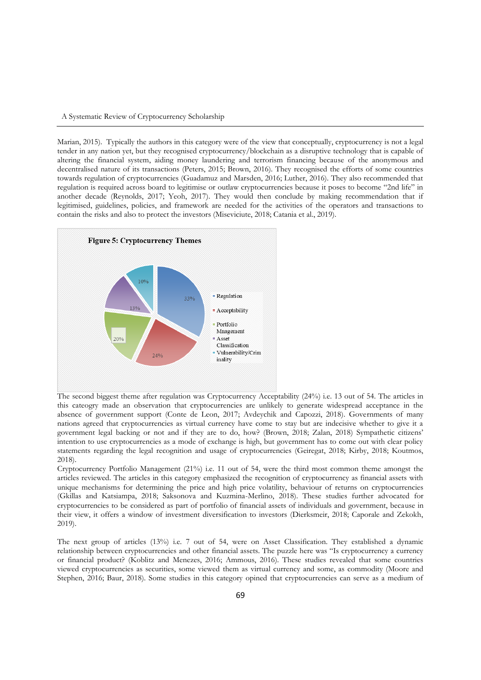### A Systematic Review of Cryptocurrency Scholarship

Marian, 2015). Typically the authors in this category were of the view that conceptually, cryptocurrency is not a legal tender in any nation yet, but they recognised cryptocurrency/blockchain as a disruptive technology that is capable of altering the financial system, aiding money laundering and terrorism financing because of the anonymous and decentralised nature of its transactions (Peters, 2015; Brown, 2016). They recognised the efforts of some countries towards regulation of cryptocurrencies (Guadamuz and Marsden, 2016; Luther, 2016). They also recommended that regulation is required across board to legitimise or outlaw cryptocurrencies because it poses to become "2nd life" in another decade (Reynolds, 2017; Yeoh, 2017). They would then conclude by making recommendation that if legitimised, guidelines, policies, and framework are needed for the activities of the operators and transactions to contain the risks and also to protect the investors (Miseviciute, 2018; Catania et al., 2019).



The second biggest theme after regulation was Cryptocurrency Acceptability (24%) i.e. 13 out of 54. The articles in this cateogry made an observation that cryptocurrencies are unlikely to generate widespread acceptance in the absence of government support (Conte de Leon, 2017; Avdeychik and Capozzi, 2018). Governments of many nations agreed that cryptocurrencies as virtual currency have come to stay but are indecisive whether to give it a government legal backing or not and if they are to do, how? (Brown, 2018; Zalan, 2018) Sympathetic citizens' intention to use cryptocurrencies as a mode of exchange is high, but government has to come out with clear policy statements regarding the legal recognition and usage of cryptocurrencies (Geiregat, 2018; Kirby, 2018; Koutmos, 2018).

Cryptocurrency Portfolio Management (21%) i.e. 11 out of 54, were the third most common theme amongst the articles reviewed. The articles in this category emphasized the recognition of cryptocurrency as financial assets with unique mechanisms for determining the price and high price volatility, behaviour of returns on cryptocurrencies (Gkillas and Katsiampa, 2018; Saksonova and Kuzmina-Merlino, 2018). These studies further advocated for cryptocurrencies to be considered as part of portfolio of financial assets of individuals and government, because in their view, it offers a window of investment diversification to investors (Dierksmeir, 2018; Caporale and Zekokh, 2019).

The next group of articles (13%) i.e. 7 out of 54, were on Asset Classification. They established a dynamic relationship between cryptocurrencies and other financial assets. The puzzle here was "Is cryptocurrency a currency or financial product? (Koblitz and Menezes, 2016; Ammous, 2016). These studies revealed that some countries viewed cryptocurrencies as securities, some viewed them as virtual currency and some, as commodity (Moore and Stephen, 2016; Baur, 2018). Some studies in this category opined that cryptocurrencies can serve as a medium of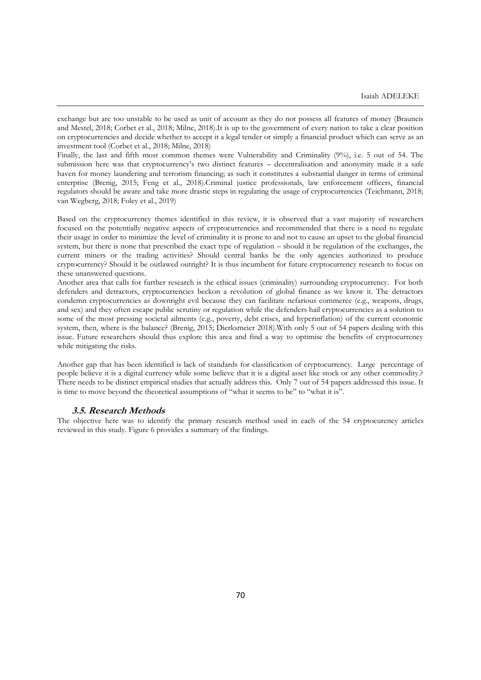exchange but are too unstable to be used as unit of account as they do not possess all features of money (Brauneis and Mestel, 2018; Corbet et al., 2018; Milne, 2018).It is up to the government of every nation to take a clear position on cryptocurrencies and decide whether to accept it a legal tender or simply a financial product which can serve as an investment tool (Corbet et al., 2018; Milne, 2018)

Finally, the last and fifth most common themes were Vulnerability and Criminality (9%), i.e. 5 out of 54. The submission here was that cryptocurrency's two distinct features – decentralisation and anonymity made it a safe haven for money laundering and terrorism financing; as such it constitutes a substantial danger in terms of criminal enterprise (Brenig, 2015; Feng et al., 2018).Criminal justice professionals, law enforcement officers, financial regulators should be aware and take more drastic steps in regulating the usage of cryptocurrencies (Teichmann, 2018; van Wegberg, 2018; Foley et al., 2019)

Based on the cryptocurrency themes identified in this review, it is observed that a vast majority of researchers focused on the potentially negative aspects of cryptocurrencies and recommended that there is a need to regulate their usage in order to minimize the level of criminality it is prone to and not to cause an upset to the global financial system, but there is none that prescribed the exact type of regulation – should it be regulation of the exchanges, the current miners or the trading activities? Should central banks be the only agencies authorized to produce cryptocurrency? Should it be outlawed outright? It is thus incumbent for future cryptocurrency research to focus on these unanswered questions.

Another area that calls for further research is the ethical issues (criminality) surrounding cryptocurrency. For both defenders and detractors, cryptocurrencies beckon a revolution of global finance as we know it. The detractors condemn cryptocurrencies as downright evil because they can facilitate nefarious commerce (e.g., weapons, drugs, and sex) and they often escape public scrutiny or regulation while the defenders hail cryptocurrencies as a solution to some of the most pressing societal ailments (e.g., poverty, debt crises, and hyperinflation) of the current economic system, then, where is the balance? (Brenig, 2015; Dierksmeier 2018).With only 5 out of 54 papers dealing with this issue. Future researchers should thus explore this area and find a way to optimise the benefits of cryptocurrency while mitigating the risks.

Another gap that has been identified is lack of standards for classification of cryptocurrency. Large percentage of people believe it is a digital currency while some believe that it is a digital asset like stock or any other commodity.? There needs to be distinct empirical studies that actually address this. Only 7 out of 54 papers addressed this issue. It is time to move beyond the theoretical assumptions of "what it seems to be" to "what it is".

### **3.5. Research Methods**

The objective here was to identify the primary research method used in each of the 54 cryptocurency articles reviewed in this study. Figure 6 provides a summary of the findings.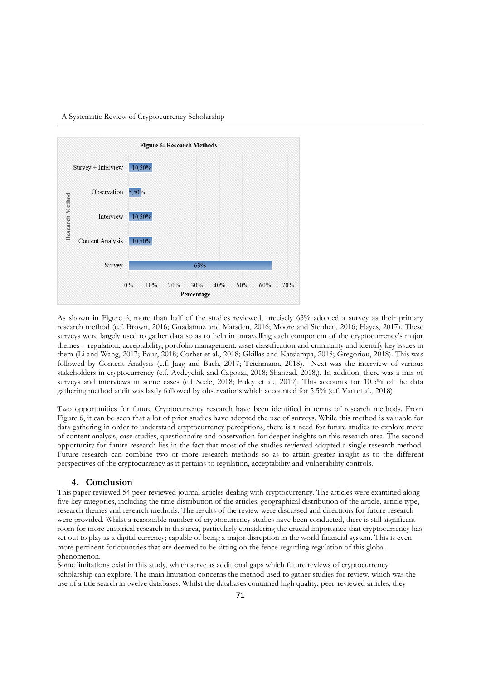#### A Systematic Review of Cryptocurrency Scholarship



As shown in Figure 6, more than half of the studies reviewed, precisely 63% adopted a survey as their primary research method (c.f. Brown, 2016; Guadamuz and Marsden, 2016; Moore and Stephen, 2016; Hayes, 2017). These surveys were largely used to gather data so as to help in unravelling each component of the cryptocurrency's major themes – regulation, acceptability, portfolio management, asset classification and criminality and identify key issues in them (Li and Wang, 2017; Baur, 2018; Corbet et al., 2018; Gkillas and Katsiampa, 2018; Gregoriou, 2018). This was followed by Content Analysis (c.f. Jaag and Bach, 2017; Teichmann, 2018). Next was the interview of various stakeholders in cryptocurrency (c.f. Avdeychik and Capozzi, 2018; Shahzad, 2018,). In addition, there was a mix of surveys and interviews in some cases (c.f Seele, 2018; Foley et al., 2019). This accounts for 10.5% of the data gathering method andit was lastly followed by observations which accounted for 5.5% (c.f. Van et al., 2018)

Two opportunities for future Cryptocurrency research have been identified in terms of research methods. From Figure 6, it can be seen that a lot of prior studies have adopted the use of surveys. While this method is valuable for data gathering in order to understand cryptocurrency perceptions, there is a need for future studies to explore more of content analysis, case studies, questionnaire and observation for deeper insights on this research area. The second opportunity for future research lies in the fact that most of the studies reviewed adopted a single research method. Future research can combine two or more research methods so as to attain greater insight as to the different perspectives of the cryptocurrency as it pertains to regulation, acceptability and vulnerability controls.

### **4. Conclusion**

This paper reviewed 54 peer-reviewed journal articles dealing with cryptocurrency. The articles were examined along five key categories, including the time distribution of the articles, geographical distribution of the article, article type, research themes and research methods. The results of the review were discussed and directions for future research were provided. Whilst a reasonable number of cryptocurrency studies have been conducted, there is still significant room for more empirical research in this area, particularly considering the crucial importance that cryptocurrency has set out to play as a digital currency; capable of being a major disruption in the world financial system. This is even more pertinent for countries that are deemed to be sitting on the fence regarding regulation of this global phenomenon.

Some limitations exist in this study, which serve as additional gaps which future reviews of cryptocurrency scholarship can explore. The main limitation concerns the method used to gather studies for review, which was the use of a title search in twelve databases. Whilst the databases contained high quality, peer-reviewed articles, they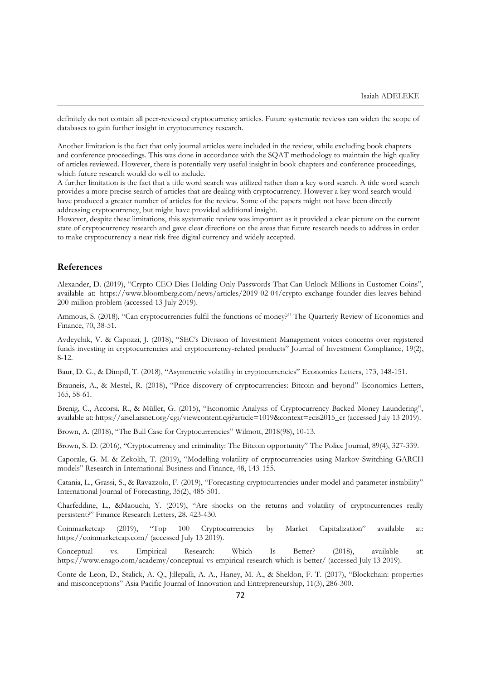definitely do not contain all peer-reviewed cryptocurrency articles. Future systematic reviews can widen the scope of databases to gain further insight in cryptocurrency research.

Another limitation is the fact that only journal articles were included in the review, while excluding book chapters and conference proceedings. This was done in accordance with the SQAT methodology to maintain the high quality of articles reviewed. However, there is potentially very useful insight in book chapters and conference proceedings, which future research would do well to include.

A further limitation is the fact that a title word search was utilized rather than a key word search. A title word search provides a more precise search of articles that are dealing with cryptocurrency. However a key word search would have produced a greater number of articles for the review. Some of the papers might not have been directly addressing cryptocurrency, but might have provided additional insight.

However, despite these limitations, this systematic review was important as it provided a clear picture on the current state of cryptocurrency research and gave clear directions on the areas that future research needs to address in order to make cryptocurrency a near risk free digital currency and widely accepted.

#### **References**

Alexander, D. (2019), "Crypto CEO Dies Holding Only Passwords That Can Unlock Millions in Customer Coins", available at: https://www.bloomberg.com/news/articles/2019-02-04/crypto-exchange-founder-dies-leaves-behind-200-million-problem (accessed 13 July 2019).

Ammous, S. (2018), "Can cryptocurrencies fulfil the functions of money?" The Quarterly Review of Economics and Finance, 70, 38-51.

Avdeychik, V. & Capozzi, J. (2018), "SEC's Division of Investment Management voices concerns over registered funds investing in cryptocurrencies and cryptocurrency-related products" Journal of Investment Compliance, 19(2), 8-12.

Baur, D. G., & Dimpfl, T. (2018), "Asymmetric volatility in cryptocurrencies" Economics Letters, 173, 148-151.

Brauneis, A., & Mestel, R. (2018), "Price discovery of cryptocurrencies: Bitcoin and beyond" Economics Letters, 165, 58-61.

Brenig, C., Accorsi, R., & Müller, G. (2015), "Economic Analysis of Cryptocurrency Backed Money Laundering", available at: https://aisel.aisnet.org/cgi/viewcontent.cgi?article=1019&context=ecis2015\_cr (accessed July 13 2019).

Brown, A. (2018), "The Bull Case for Cryptocurrencies" Wilmott, 2018(98), 10-13.

Brown, S. D. (2016), "Cryptocurrency and criminality: The Bitcoin opportunity" The Police Journal, 89(4), 327-339.

Caporale, G. M. & Zekokh, T. (2019), "Modelling volatility of cryptocurrencies using Markov-Switching GARCH models" Research in International Business and Finance, 48, 143-155.

Catania, L., Grassi, S., & Ravazzolo, F. (2019), "Forecasting cryptocurrencies under model and parameter instability" International Journal of Forecasting, 35(2), 485-501.

Charfeddine, L., &Maouchi, Y. (2019), "Are shocks on the returns and volatility of cryptocurrencies really persistent?" Finance Research Letters, 28, 423-430.

Coinmarketcap (2019), "Top 100 Cryptocurrencies by Market Capitalization" available at: https://coinmarketcap.com/ (accessed July 13 2019).

Conceptual vs. Empirical Research: Which Is Better? (2018), available at: https://www.enago.com/academy/conceptual-vs-empirical-research-which-is-better/ (accessed July 13 2019).

Conte de Leon, D., Stalick, A. Q., Jillepalli, A. A., Haney, M. A., & Sheldon, F. T. (2017), "Blockchain: properties and misconceptions" Asia Pacific Journal of Innovation and Entrepreneurship, 11(3), 286-300.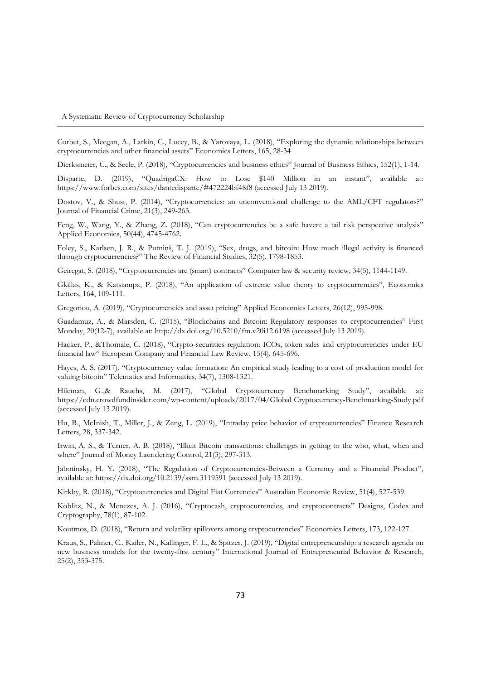Corbet, S., Meegan, A., Larkin, C., Lucey, B., & Yarovaya, L. (2018), "Exploring the dynamic relationships between cryptocurrencies and other financial assets" Economics Letters, 165, 28-34

Dierksmeier, C., & Seele, P. (2018), "Cryptocurrencies and business ethics" Journal of Business Ethics, 152(1), 1-14.

Disparte, D. (2019), "QuadrigaCX: How to Lose \$140 Million in an instant", available at: https://www.forbes.com/sites/dantedisparte/#472224bf48f8 (accessed July 13 2019).

Dostov, V., & Shust, P. (2014), "Cryptocurrencies: an unconventional challenge to the AML/CFT regulators?" Journal of Financial Crime, 21(3), 249-263.

Feng, W., Wang, Y., & Zhang, Z. (2018), "Can cryptocurrencies be a safe haven: a tail risk perspective analysis" Applied Economics, 50(44), 4745-4762.

Foley, S., Karlsen, J. R., & Putniņš, T. J. (2019), "Sex, drugs, and bitcoin: How much illegal activity is financed through cryptocurrencies?" The Review of Financial Studies, 32(5), 1798-1853.

Geiregat, S. (2018), "Cryptocurrencies are (smart) contracts" Computer law & security review, 34(5), 1144-1149.

Gkillas, K., & Katsiampa, P. (2018), "An application of extreme value theory to cryptocurrencies", Economics Letters, 164, 109-111.

Gregoriou, A. (2019), "Cryptocurrencies and asset pricing" Applied Economics Letters, 26(12), 995-998.

Guadamuz, A., & Marsden, C. (2015), "Blockchains and Bitcoin: Regulatory responses to cryptocurrencies" First Monday, 20(12-7), available at: http://dx.doi.org/10.5210/fm.v20i12.6198 (accessed July 13 2019).

Hacker, P., &Thomale, C. (2018), "Crypto-securities regulation: ICOs, token sales and cryptocurrencies under EU financial law" European Company and Financial Law Review, 15(4), 645-696.

Hayes, A. S. (2017), "Cryptocurrency value formation: An empirical study leading to a cost of production model for valuing bitcoin" Telematics and Informatics, 34(7), 1308-1321.

Hileman, G.,& Rauchs, M. (2017), "Global Cryptocurrency Benchmarking Study", available at: https://cdn.crowdfundinsider.com/wp-content/uploads/2017/04/Global Cryptocurrency-Benchmarking-Study.pdf (accessed July 13 2019).

Hu, B., McInish, T., Miller, J., & Zeng, L. (2019), "Intraday price behavior of cryptocurrencies" Finance Research Letters, 28, 337-342.

Irwin, A. S., & Turner, A. B. (2018), "Illicit Bitcoin transactions: challenges in getting to the who, what, when and where" Journal of Money Laundering Control, 21(3), 297-313.

Jabotinsky, H. Y. (2018), "The Regulation of Cryptocurrencies-Between a Currency and a Financial Product", available at: https://dx.doi.org/10.2139/ssrn.3119591 (accessed July 13 2019).

Kirkby, R. (2018), "Cryptocurrencies and Digital Fiat Currencies" Australian Economic Review, 51(4), 527-539.

Koblitz, N., & Menezes, A. J. (2016), "Cryptocash, cryptocurrencies, and cryptocontracts" Designs, Codes and Cryptography, 78(1), 87-102.

Koutmos, D. (2018), "Return and volatility spillovers among cryptocurrencies" Economics Letters, 173, 122-127.

Kraus, S., Palmer, C., Kailer, N., Kallinger, F. L., & Spitzer, J. (2019), "Digital entrepreneurship: a research agenda on new business models for the twenty-first century" International Journal of Entrepreneurial Behavior & Research, 25(2), 353-375.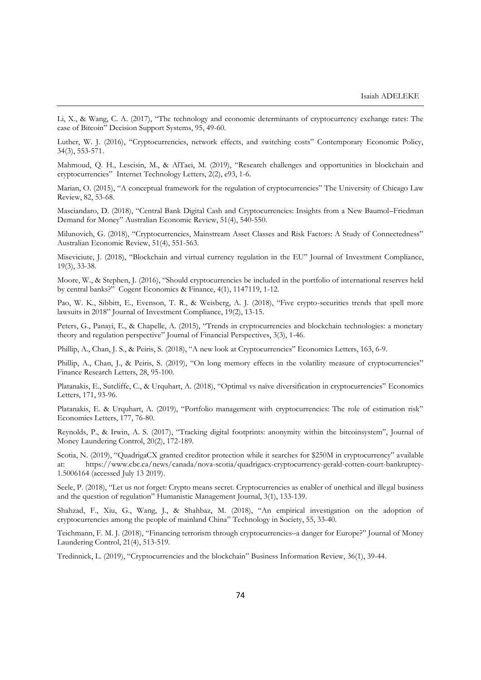Li, X., & Wang, C. A. (2017), "The technology and economic determinants of cryptocurrency exchange rates: The case of Bitcoin" Decision Support Systems, 95, 49-60.

Luther, W. J. (2016), "Cryptocurrencies, network effects, and switching costs" Contemporary Economic Policy, 34(3), 553-571.

Mahmoud, Q. H., Lescisin, M., & AlTaei, M. (2019), "Research challenges and opportunities in blockchain and cryptocurrencies" Internet Technology Letters, 2(2), e93, 1-6.

Marian, O. (2015), "A conceptual framework for the regulation of cryptocurrencies" The University of Chicago Law Review, 82, 53-68.

Masciandaro, D. (2018), "Central Bank Digital Cash and Cryptocurrencies: Insights from a New Baumol–Friedman Demand for Money" Australian Economic Review, 51(4), 540-550.

Milunovich, G. (2018), "Cryptocurrencies, Mainstream Asset Classes and Risk Factors: A Study of Connectedness" Australian Economic Review, 51(4), 551-563.

Miseviciute, J. (2018), "Blockchain and virtual currency regulation in the EU" Journal of Investment Compliance, 19(3), 33-38.

Moore, W., & Stephen, J. (2016), "Should cryptocurrencies be included in the portfolio of international reserves held by central banks?" Cogent Economics & Finance, 4(1), 1147119, 1-12.

Pao, W. K., Sibbitt, E., Evenson, T. R., & Weisberg, A. J. (2018), "Five crypto-securities trends that spell more lawsuits in 2018" Journal of Investment Compliance, 19(2), 13-15.

Peters, G., Panayi, E., & Chapelle, A. (2015), "Trends in cryptocurrencies and blockchain technologies: a monetary theory and regulation perspective" Journal of Financial Perspectives, 3(3), 1-46.

Phillip, A., Chan, J. S., & Peiris, S. (2018), "A new look at Cryptocurrencies" Economics Letters, 163, 6-9.

Phillip, A., Chan, J., & Peiris, S. (2019), "On long memory effects in the volatility measure of cryptocurrencies" Finance Research Letters, 28, 95-100.

Platanakis, E., Sutcliffe, C., & Urquhart, A. (2018), "Optimal vs naïve diversification in cryptocurrencies" Economics Letters, 171, 93-96.

Platanakis, E. & Urquhart, A. (2019), "Portfolio management with cryptocurrencies: The role of estimation risk" Economics Letters, 177, 76-80.

Reynolds, P., & Irwin, A. S. (2017), "Tracking digital footprints: anonymity within the bitcoinsystem", Journal of Money Laundering Control, 20(2), 172-189.

Scotia, N. (2019), "QuadrigaCX granted creditor protection while it searches for \$250M in cryptocurrency" available at: https://www.cbc.ca/news/canada/nova-scotia/quadrigacx-cryptocurrency-gerald-cotten-court-bankruptcy-1.5006164 (accessed July 13 2019).

Seele, P. (2018), "Let us not forget: Crypto means secret. Cryptocurrencies as enabler of unethical and illegal business and the question of regulation" Humanistic Management Journal, 3(1), 133-139.

Shahzad, F., Xiu, G., Wang, J., & Shahbaz, M. (2018), "An empirical investigation on the adoption of cryptocurrencies among the people of mainland China" Technology in Society, 55, 33-40.

Teichmann, F. M. J. (2018), "Financing terrorism through cryptocurrencies–a danger for Europe?" Journal of Money Laundering Control, 21(4), 513-519.

Tredinnick, L. (2019), "Cryptocurrencies and the blockchain" Business Information Review, 36(1), 39-44.